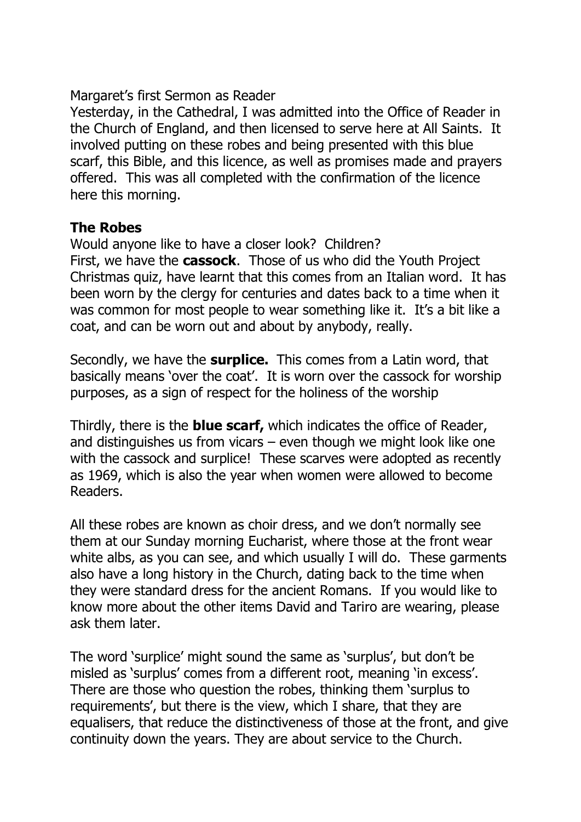### Margaret's first Sermon as Reader

Yesterday, in the Cathedral, I was admitted into the Office of Reader in the Church of England, and then licensed to serve here at All Saints. It involved putting on these robes and being presented with this blue scarf, this Bible, and this licence, as well as promises made and prayers offered. This was all completed with the confirmation of the licence here this morning.

### **The Robes**

Would anyone like to have a closer look? Children? First, we have the **cassock**. Those of us who did the Youth Project Christmas quiz, have learnt that this comes from an Italian word. It has been worn by the clergy for centuries and dates back to a time when it was common for most people to wear something like it. It's a bit like a coat, and can be worn out and about by anybody, really.

Secondly, we have the **surplice.** This comes from a Latin word, that basically means 'over the coat'. It is worn over the cassock for worship purposes, as a sign of respect for the holiness of the worship

Thirdly, there is the **blue scarf,** which indicates the office of Reader, and distinguishes us from vicars – even though we might look like one with the cassock and surplice! These scarves were adopted as recently as 1969, which is also the year when women were allowed to become Readers.

All these robes are known as choir dress, and we don't normally see them at our Sunday morning Eucharist, where those at the front wear white albs, as you can see, and which usually I will do. These garments also have a long history in the Church, dating back to the time when they were standard dress for the ancient Romans. If you would like to know more about the other items David and Tariro are wearing, please ask them later.

The word 'surplice' might sound the same as 'surplus', but don't be misled as 'surplus' comes from a different root, meaning 'in excess'. There are those who question the robes, thinking them 'surplus to requirements', but there is the view, which I share, that they are equalisers, that reduce the distinctiveness of those at the front, and give continuity down the years. They are about service to the Church.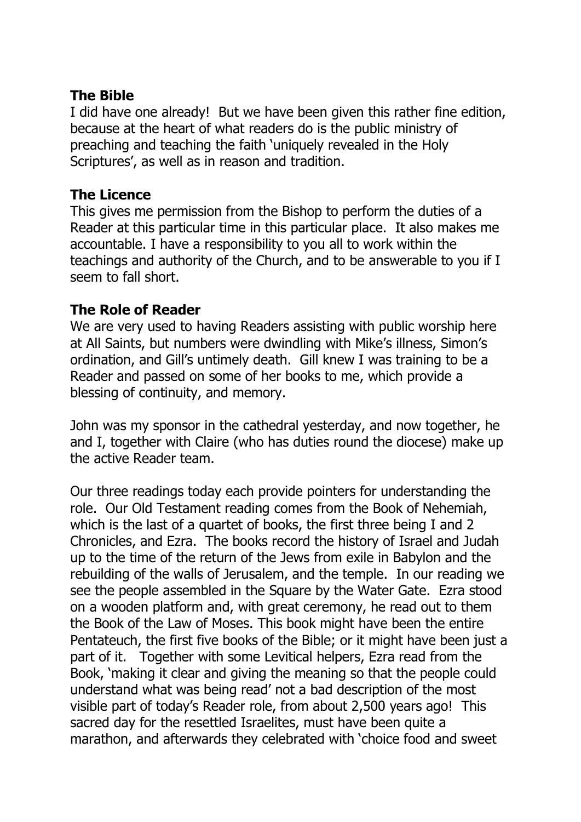# **The Bible**

I did have one already! But we have been given this rather fine edition, because at the heart of what readers do is the public ministry of preaching and teaching the faith 'uniquely revealed in the Holy Scriptures', as well as in reason and tradition.

# **The Licence**

This gives me permission from the Bishop to perform the duties of a Reader at this particular time in this particular place. It also makes me accountable. I have a responsibility to you all to work within the teachings and authority of the Church, and to be answerable to you if I seem to fall short.

# **The Role of Reader**

We are very used to having Readers assisting with public worship here at All Saints, but numbers were dwindling with Mike's illness, Simon's ordination, and Gill's untimely death. Gill knew I was training to be a Reader and passed on some of her books to me, which provide a blessing of continuity, and memory.

John was my sponsor in the cathedral yesterday, and now together, he and I, together with Claire (who has duties round the diocese) make up the active Reader team.

Our three readings today each provide pointers for understanding the role. Our Old Testament reading comes from the Book of Nehemiah, which is the last of a quartet of books, the first three being I and 2 Chronicles, and Ezra. The books record the history of Israel and Judah up to the time of the return of the Jews from exile in Babylon and the rebuilding of the walls of Jerusalem, and the temple. In our reading we see the people assembled in the Square by the Water Gate. Ezra stood on a wooden platform and, with great ceremony, he read out to them the Book of the Law of Moses. This book might have been the entire Pentateuch, the first five books of the Bible; or it might have been just a part of it. Together with some Levitical helpers, Ezra read from the Book, 'making it clear and giving the meaning so that the people could understand what was being read' not a bad description of the most visible part of today's Reader role, from about 2,500 years ago! This sacred day for the resettled Israelites, must have been quite a marathon, and afterwards they celebrated with 'choice food and sweet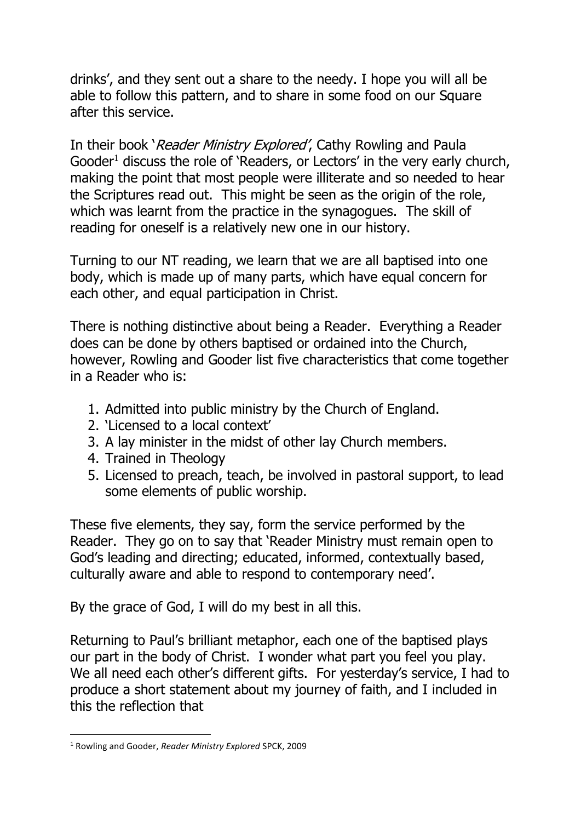drinks', and they sent out a share to the needy. I hope you will all be able to follow this pattern, and to share in some food on our Square after this service.

In their book 'Reader Ministry Explored', Cathy Rowling and Paula Gooder<sup>1</sup> discuss the role of 'Readers, or Lectors' in the very early church, making the point that most people were illiterate and so needed to hear the Scriptures read out. This might be seen as the origin of the role, which was learnt from the practice in the synagogues. The skill of reading for oneself is a relatively new one in our history.

Turning to our NT reading, we learn that we are all baptised into one body, which is made up of many parts, which have equal concern for each other, and equal participation in Christ.

There is nothing distinctive about being a Reader. Everything a Reader does can be done by others baptised or ordained into the Church, however, Rowling and Gooder list five characteristics that come together in a Reader who is:

- 1. Admitted into public ministry by the Church of England.
- 2. 'Licensed to a local context'
- 3. A lay minister in the midst of other lay Church members.
- 4. Trained in Theology
- 5. Licensed to preach, teach, be involved in pastoral support, to lead some elements of public worship.

These five elements, they say, form the service performed by the Reader. They go on to say that 'Reader Ministry must remain open to God's leading and directing; educated, informed, contextually based, culturally aware and able to respond to contemporary need'.

By the grace of God, I will do my best in all this.

Returning to Paul's brilliant metaphor, each one of the baptised plays our part in the body of Christ. I wonder what part you feel you play. We all need each other's different gifts. For yesterday's service, I had to produce a short statement about my journey of faith, and I included in this the reflection that

<sup>1</sup> Rowling and Gooder, *Reader Ministry Explored* SPCK, 2009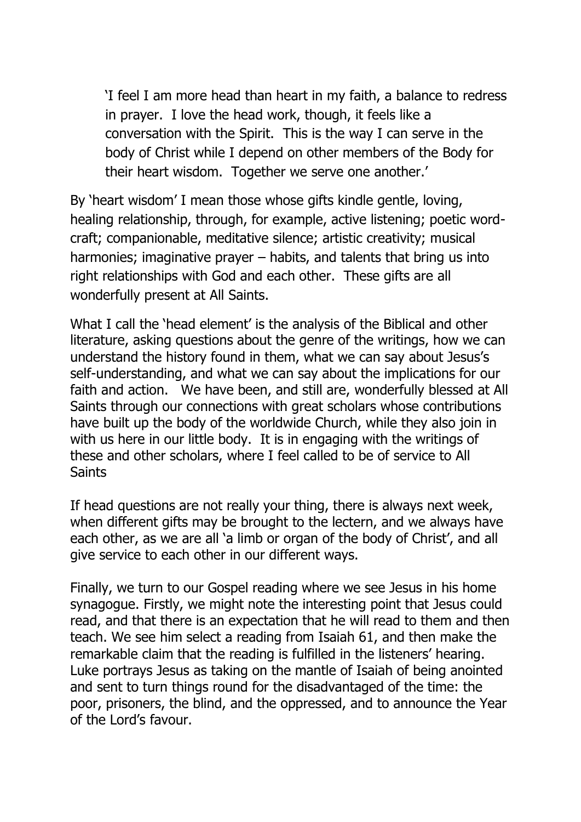'I feel I am more head than heart in my faith, a balance to redress in prayer. I love the head work, though, it feels like a conversation with the Spirit. This is the way I can serve in the body of Christ while I depend on other members of the Body for their heart wisdom. Together we serve one another.'

By 'heart wisdom' I mean those whose gifts kindle gentle, loving, healing relationship, through, for example, active listening; poetic wordcraft; companionable, meditative silence; artistic creativity; musical harmonies; imaginative prayer – habits, and talents that bring us into right relationships with God and each other. These gifts are all wonderfully present at All Saints.

What I call the 'head element' is the analysis of the Biblical and other literature, asking questions about the genre of the writings, how we can understand the history found in them, what we can say about Jesus's self-understanding, and what we can say about the implications for our faith and action. We have been, and still are, wonderfully blessed at All Saints through our connections with great scholars whose contributions have built up the body of the worldwide Church, while they also join in with us here in our little body. It is in engaging with the writings of these and other scholars, where I feel called to be of service to All Saints

If head questions are not really your thing, there is always next week, when different gifts may be brought to the lectern, and we always have each other, as we are all 'a limb or organ of the body of Christ', and all give service to each other in our different ways.

Finally, we turn to our Gospel reading where we see Jesus in his home synagogue. Firstly, we might note the interesting point that Jesus could read, and that there is an expectation that he will read to them and then teach. We see him select a reading from Isaiah 61, and then make the remarkable claim that the reading is fulfilled in the listeners' hearing. Luke portrays Jesus as taking on the mantle of Isaiah of being anointed and sent to turn things round for the disadvantaged of the time: the poor, prisoners, the blind, and the oppressed, and to announce the Year of the Lord's favour.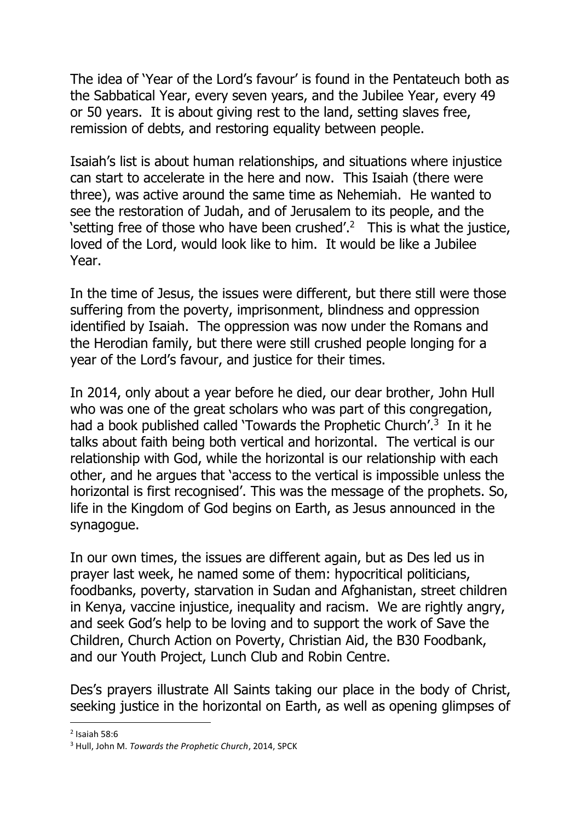The idea of 'Year of the Lord's favour' is found in the Pentateuch both as the Sabbatical Year, every seven years, and the Jubilee Year, every 49 or 50 years. It is about giving rest to the land, setting slaves free, remission of debts, and restoring equality between people.

Isaiah's list is about human relationships, and situations where injustice can start to accelerate in the here and now. This Isaiah (there were three), was active around the same time as Nehemiah. He wanted to see the restoration of Judah, and of Jerusalem to its people, and the 'setting free of those who have been crushed'. $2$  This is what the justice, loved of the Lord, would look like to him. It would be like a Jubilee Year.

In the time of Jesus, the issues were different, but there still were those suffering from the poverty, imprisonment, blindness and oppression identified by Isaiah. The oppression was now under the Romans and the Herodian family, but there were still crushed people longing for a year of the Lord's favour, and justice for their times.

In 2014, only about a year before he died, our dear brother, John Hull who was one of the great scholars who was part of this congregation, had a book published called 'Towards the Prophetic Church'.<sup>3</sup> In it he talks about faith being both vertical and horizontal. The vertical is our relationship with God, while the horizontal is our relationship with each other, and he argues that 'access to the vertical is impossible unless the horizontal is first recognised'. This was the message of the prophets. So, life in the Kingdom of God begins on Earth, as Jesus announced in the synagogue.

In our own times, the issues are different again, but as Des led us in prayer last week, he named some of them: hypocritical politicians, foodbanks, poverty, starvation in Sudan and Afghanistan, street children in Kenya, vaccine injustice, inequality and racism. We are rightly angry, and seek God's help to be loving and to support the work of Save the Children, Church Action on Poverty, Christian Aid, the B30 Foodbank, and our Youth Project, Lunch Club and Robin Centre.

Des's prayers illustrate All Saints taking our place in the body of Christ, seeking justice in the horizontal on Earth, as well as opening glimpses of

 $<sup>2</sup>$  Isaiah 58:6</sup>

<sup>3</sup> Hull, John M. *Towards the Prophetic Church*, 2014, SPCK